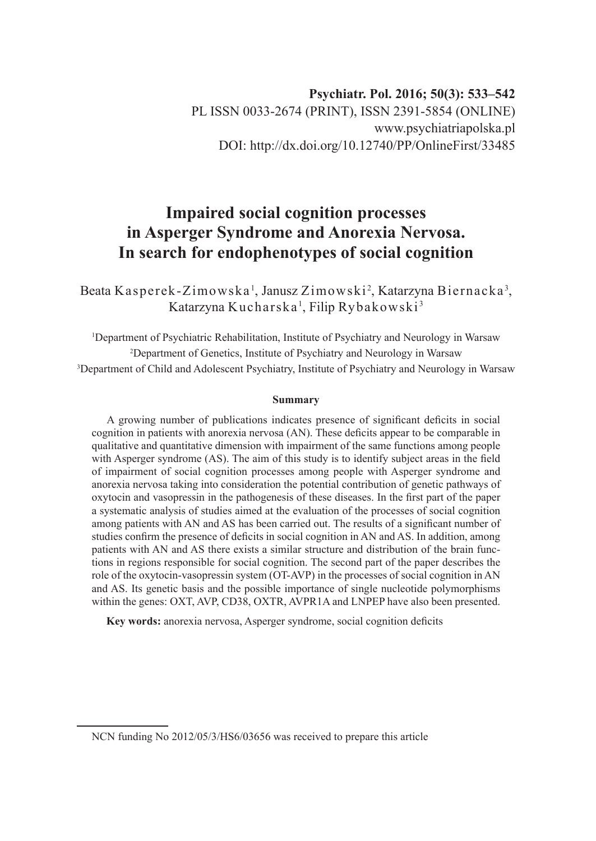# **Impaired social cognition processes in Asperger Syndrome and Anorexia Nervosa. In search for endophenotypes of social cognition**

Beata Kasperek-Zimowska ½, Janusz Zimowski  $^2$ , Katarzyna Biernacka  $^3$ , Katarzyna Kucharska $^{\rm l}$ , Filip Rybakowski $^{\rm 3}$ 

1 Department of Psychiatric Rehabilitation, Institute of Psychiatry and Neurology in Warsaw 2 Department of Genetics, Institute of Psychiatry and Neurology in Warsaw 3 Department of Child and Adolescent Psychiatry, Institute of Psychiatry and Neurology in Warsaw

#### **Summary**

A growing number of publications indicates presence of significant deficits in social cognition in patients with anorexia nervosa (AN). These deficits appear to be comparable in qualitative and quantitative dimension with impairment of the same functions among people with Asperger syndrome (AS). The aim of this study is to identify subject areas in the field of impairment of social cognition processes among people with Asperger syndrome and anorexia nervosa taking into consideration the potential contribution of genetic pathways of oxytocin and vasopressin in the pathogenesis of these diseases. In the first part of the paper a systematic analysis of studies aimed at the evaluation of the processes of social cognition among patients with AN and AS has been carried out. The results of a significant number of studies confirm the presence of deficits in social cognition in AN and AS. In addition, among patients with AN and AS there exists a similar structure and distribution of the brain functions in regions responsible for social cognition. The second part of the paper describes the role of the oxytocin-vasopressin system (OT-AVP) in the processes of social cognition in AN and AS. Its genetic basis and the possible importance of single nucleotide polymorphisms within the genes: OXT, AVP, CD38, OXTR, AVPR1A and LNPEP have also been presented.

**Key words:** anorexia nervosa, Asperger syndrome, social cognition deficits

NCN funding No 2012/05/3/HS6/03656 was received to prepare this article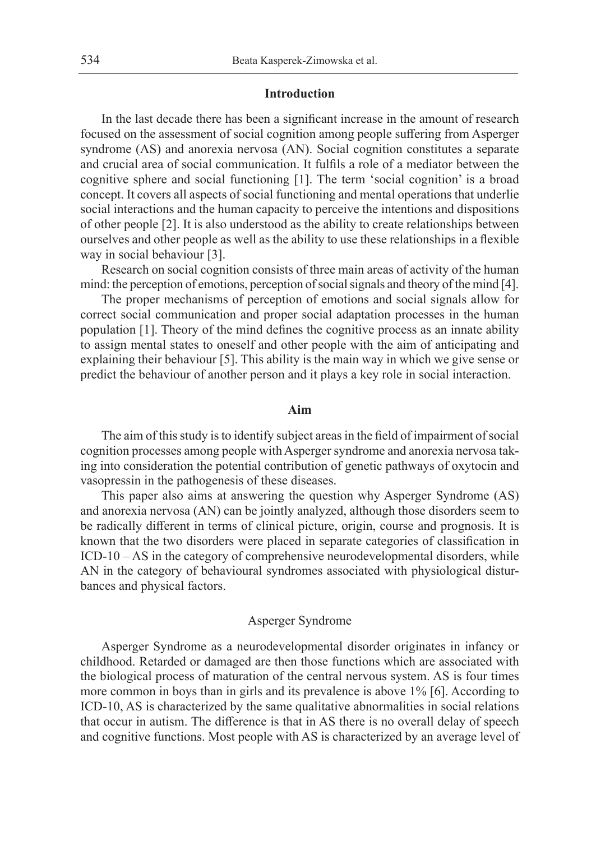## **Introduction**

In the last decade there has been a significant increase in the amount of research focused on the assessment of social cognition among people suffering from Asperger syndrome (AS) and anorexia nervosa (AN). Social cognition constitutes a separate and crucial area of social communication. It fulfils a role of a mediator between the cognitive sphere and social functioning [1]. The term 'social cognition' is a broad concept. It covers all aspects of social functioning and mental operations that underlie social interactions and the human capacity to perceive the intentions and dispositions of other people [2]. It is also understood as the ability to create relationships between ourselves and other people as well as the ability to use these relationships in a flexible way in social behaviour [3].

Research on social cognition consists of three main areas of activity of the human mind: the perception of emotions, perception of social signals and theory of the mind [4].

The proper mechanisms of perception of emotions and social signals allow for correct social communication and proper social adaptation processes in the human population [1]. Theory of the mind defines the cognitive process as an innate ability to assign mental states to oneself and other people with the aim of anticipating and explaining their behaviour [5]. This ability is the main way in which we give sense or predict the behaviour of another person and it plays a key role in social interaction.

## **Aim**

The aim of this study is to identify subject areas in the field of impairment of social cognition processes among people with Asperger syndrome and anorexia nervosa taking into consideration the potential contribution of genetic pathways of oxytocin and vasopressin in the pathogenesis of these diseases.

This paper also aims at answering the question why Asperger Syndrome (AS) and anorexia nervosa (AN) can be jointly analyzed, although those disorders seem to be radically different in terms of clinical picture, origin, course and prognosis. It is known that the two disorders were placed in separate categories of classification in ICD-10 – AS in the category of comprehensive neurodevelopmental disorders, while AN in the category of behavioural syndromes associated with physiological disturbances and physical factors.

# Asperger Syndrome

Asperger Syndrome as a neurodevelopmental disorder originates in infancy or childhood. Retarded or damaged are then those functions which are associated with the biological process of maturation of the central nervous system. AS is four times more common in boys than in girls and its prevalence is above 1% [6]. According to ICD-10, AS is characterized by the same qualitative abnormalities in social relations that occur in autism. The difference is that in AS there is no overall delay of speech and cognitive functions. Most people with AS is characterized by an average level of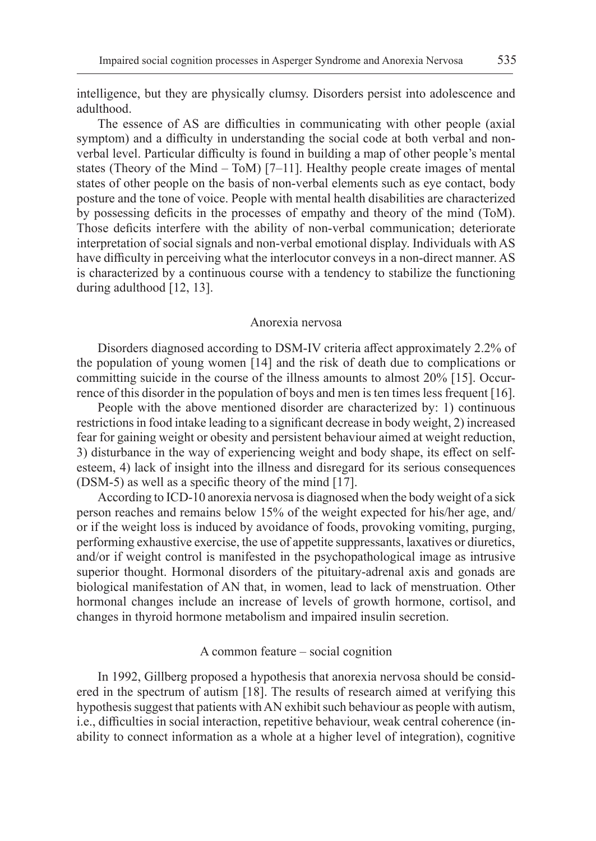intelligence, but they are physically clumsy. Disorders persist into adolescence and adulthood.

The essence of AS are difficulties in communicating with other people (axial symptom) and a difficulty in understanding the social code at both verbal and nonverbal level. Particular difficulty is found in building a map of other people's mental states (Theory of the Mind – ToM)  $[7-11]$ . Healthy people create images of mental states of other people on the basis of non-verbal elements such as eye contact, body posture and the tone of voice. People with mental health disabilities are characterized by possessing deficits in the processes of empathy and theory of the mind (ToM). Those deficits interfere with the ability of non-verbal communication; deteriorate interpretation of social signals and non-verbal emotional display. Individuals with AS have difficulty in perceiving what the interlocutor conveys in a non-direct manner. AS is characterized by a continuous course with a tendency to stabilize the functioning during adulthood [12, 13].

## Anorexia nervosa

Disorders diagnosed according to DSM-IV criteria affect approximately 2.2% of the population of young women [14] and the risk of death due to complications or committing suicide in the course of the illness amounts to almost 20% [15]. Occurrence of this disorder in the population of boys and men is ten times less frequent [16].

People with the above mentioned disorder are characterized by: 1) continuous restrictions in food intake leading to a significant decrease in body weight, 2) increased fear for gaining weight or obesity and persistent behaviour aimed at weight reduction, 3) disturbance in the way of experiencing weight and body shape, its effect on selfesteem, 4) lack of insight into the illness and disregard for its serious consequences (DSM-5) as well as a specific theory of the mind [17].

According to ICD-10 anorexia nervosa is diagnosed when the body weight of a sick person reaches and remains below 15% of the weight expected for his/her age, and/ or if the weight loss is induced by avoidance of foods, provoking vomiting, purging, performing exhaustive exercise, the use of appetite suppressants, laxatives or diuretics, and/or if weight control is manifested in the psychopathological image as intrusive superior thought. Hormonal disorders of the pituitary-adrenal axis and gonads are biological manifestation of AN that, in women, lead to lack of menstruation. Other hormonal changes include an increase of levels of growth hormone, cortisol, and changes in thyroid hormone metabolism and impaired insulin secretion.

#### A common feature – social cognition

In 1992, Gillberg proposed a hypothesis that anorexia nervosa should be considered in the spectrum of autism [18]. The results of research aimed at verifying this hypothesis suggest that patients with AN exhibit such behaviour as people with autism, i.e., difficulties in social interaction, repetitive behaviour, weak central coherence (inability to connect information as a whole at a higher level of integration), cognitive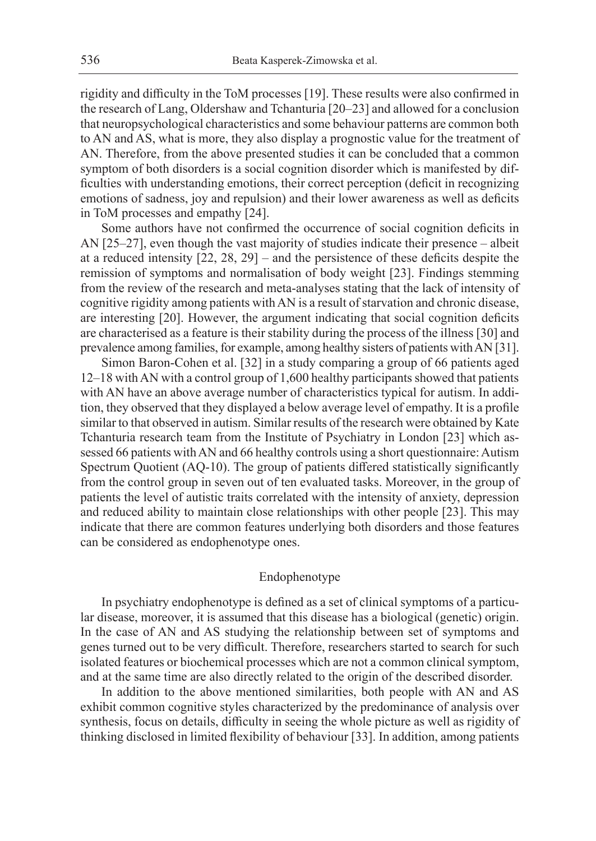rigidity and difficulty in the ToM processes [19]. These results were also confirmed in the research of Lang, Oldershaw and Tchanturia [20–23] and allowed for a conclusion that neuropsychological characteristics and some behaviour patterns are common both to AN and AS, what is more, they also display a prognostic value for the treatment of AN. Therefore, from the above presented studies it can be concluded that a common symptom of both disorders is a social cognition disorder which is manifested by difficulties with understanding emotions, their correct perception (deficit in recognizing emotions of sadness, joy and repulsion) and their lower awareness as well as deficits in ToM processes and empathy [24].

Some authors have not confirmed the occurrence of social cognition deficits in AN [25–27], even though the vast majority of studies indicate their presence – albeit at a reduced intensity [22, 28, 29] – and the persistence of these deficits despite the remission of symptoms and normalisation of body weight [23]. Findings stemming from the review of the research and meta-analyses stating that the lack of intensity of cognitive rigidity among patients with AN is a result of starvation and chronic disease, are interesting [20]. However, the argument indicating that social cognition deficits are characterised as a feature is their stability during the process of the illness [30] and prevalence among families, for example, among healthy sisters of patients with AN [31].

Simon Baron-Cohen et al. [32] in a study comparing a group of 66 patients aged 12–18 with AN with a control group of 1,600 healthy participants showed that patients with AN have an above average number of characteristics typical for autism. In addition, they observed that they displayed a below average level of empathy. It is a profile similar to that observed in autism. Similar results of the research were obtained by Kate Tchanturia research team from the Institute of Psychiatry in London [23] which assessed 66 patients with AN and 66 healthy controls using a short questionnaire: Autism Spectrum Quotient (AQ-10). The group of patients differed statistically significantly from the control group in seven out of ten evaluated tasks. Moreover, in the group of patients the level of autistic traits correlated with the intensity of anxiety, depression and reduced ability to maintain close relationships with other people [23]. This may indicate that there are common features underlying both disorders and those features can be considered as endophenotype ones.

# Endophenotype

In psychiatry endophenotype is defined as a set of clinical symptoms of a particular disease, moreover, it is assumed that this disease has a biological (genetic) origin. In the case of AN and AS studying the relationship between set of symptoms and genes turned out to be very difficult. Therefore, researchers started to search for such isolated features or biochemical processes which are not a common clinical symptom, and at the same time are also directly related to the origin of the described disorder.

In addition to the above mentioned similarities, both people with AN and AS exhibit common cognitive styles characterized by the predominance of analysis over synthesis, focus on details, difficulty in seeing the whole picture as well as rigidity of thinking disclosed in limited flexibility of behaviour [33]. In addition, among patients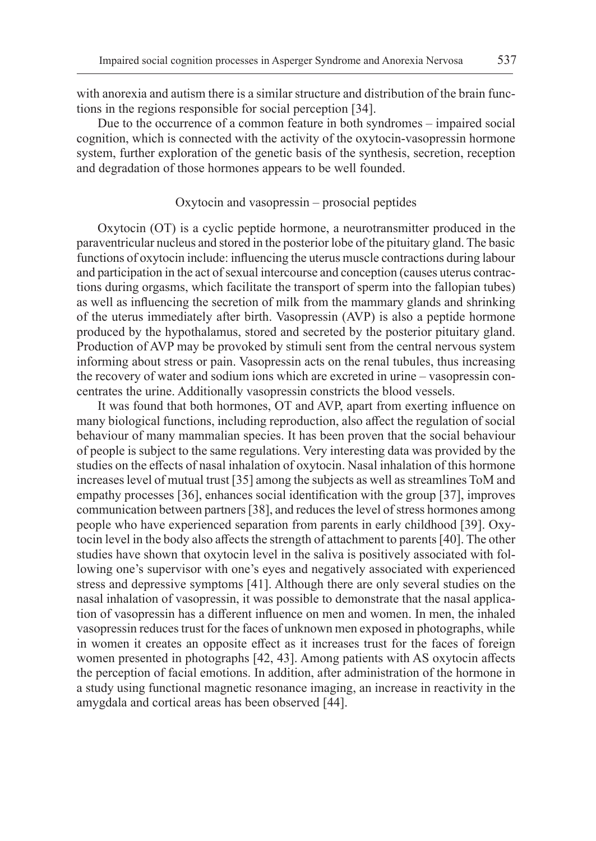with anorexia and autism there is a similar structure and distribution of the brain functions in the regions responsible for social perception [34].

Due to the occurrence of a common feature in both syndromes – impaired social cognition, which is connected with the activity of the oxytocin-vasopressin hormone system, further exploration of the genetic basis of the synthesis, secretion, reception and degradation of those hormones appears to be well founded.

# Oxytocin and vasopressin – prosocial peptides

Oxytocin (OT) is a cyclic peptide hormone, a neurotransmitter produced in the paraventricular nucleus and stored in the posterior lobe of the pituitary gland. The basic functions of oxytocin include: influencing the uterus muscle contractions during labour and participation in the act of sexual intercourse and conception (causes uterus contractions during orgasms, which facilitate the transport of sperm into the fallopian tubes) as well as influencing the secretion of milk from the mammary glands and shrinking of the uterus immediately after birth. Vasopressin (AVP) is also a peptide hormone produced by the hypothalamus, stored and secreted by the posterior pituitary gland. Production of AVP may be provoked by stimuli sent from the central nervous system informing about stress or pain. Vasopressin acts on the renal tubules, thus increasing the recovery of water and sodium ions which are excreted in urine – vasopressin concentrates the urine. Additionally vasopressin constricts the blood vessels.

It was found that both hormones, OT and AVP, apart from exerting influence on many biological functions, including reproduction, also affect the regulation of social behaviour of many mammalian species. It has been proven that the social behaviour of people is subject to the same regulations. Very interesting data was provided by the studies on the effects of nasal inhalation of oxytocin. Nasal inhalation of this hormone increases level of mutual trust [35] among the subjects as well as streamlines ToM and empathy processes [36], enhances social identification with the group [37], improves communication between partners [38], and reduces the level of stress hormones among people who have experienced separation from parents in early childhood [39]. Oxytocin level in the body also affects the strength of attachment to parents [40]. The other studies have shown that oxytocin level in the saliva is positively associated with following one's supervisor with one's eyes and negatively associated with experienced stress and depressive symptoms [41]. Although there are only several studies on the nasal inhalation of vasopressin, it was possible to demonstrate that the nasal application of vasopressin has a different influence on men and women. In men, the inhaled vasopressin reduces trust for the faces of unknown men exposed in photographs, while in women it creates an opposite effect as it increases trust for the faces of foreign women presented in photographs [42, 43]. Among patients with AS oxytocin affects the perception of facial emotions. In addition, after administration of the hormone in a study using functional magnetic resonance imaging, an increase in reactivity in the amygdala and cortical areas has been observed [44].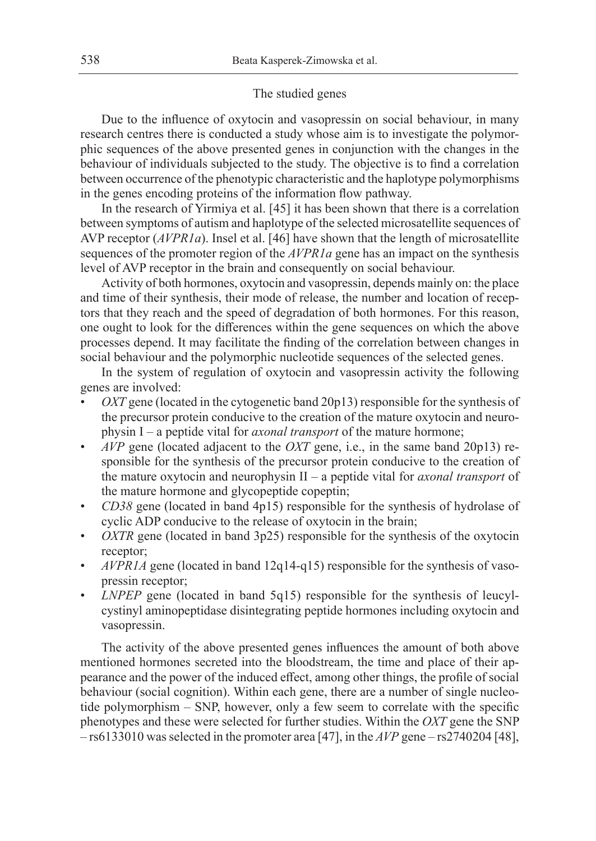# The studied genes

Due to the influence of oxytocin and vasopressin on social behaviour, in many research centres there is conducted a study whose aim is to investigate the polymorphic sequences of the above presented genes in conjunction with the changes in the behaviour of individuals subjected to the study. The objective is to find a correlation between occurrence of the phenotypic characteristic and the haplotype polymorphisms in the genes encoding proteins of the information flow pathway.

In the research of Yirmiya et al. [45] it has been shown that there is a correlation between symptoms of autism and haplotype of the selected microsatellite sequences of AVP receptor (*AVPR1a*). Insel et al. [46] have shown that the length of microsatellite sequences of the promoter region of the *AVPR1a* gene has an impact on the synthesis level of AVP receptor in the brain and consequently on social behaviour.

Activity of both hormones, oxytocin and vasopressin, depends mainly on: the place and time of their synthesis, their mode of release, the number and location of receptors that they reach and the speed of degradation of both hormones. For this reason, one ought to look for the differences within the gene sequences on which the above processes depend. It may facilitate the finding of the correlation between changes in social behaviour and the polymorphic nucleotide sequences of the selected genes.

In the system of regulation of oxytocin and vasopressin activity the following genes are involved:

- *OXT* gene (located in the cytogenetic band 20p13) responsible for the synthesis of the precursor protein conducive to the creation of the mature oxytocin and neurophysin I – a peptide vital for *axonal transport* of the mature hormone;
- *AVP* gene (located adjacent to the *OXT* gene, i.e., in the same band 20p13) responsible for the synthesis of the precursor protein conducive to the creation of the mature oxytocin and neurophysin II – a peptide vital for *axonal transport* of the mature hormone and glycopeptide copeptin;
- *CD38* gene (located in band 4p15) responsible for the synthesis of hydrolase of cyclic ADP conducive to the release of oxytocin in the brain;
- *OXTR* gene (located in band 3p25) responsible for the synthesis of the oxytocin receptor;
- *AVPR1A* gene (located in band 12q14-q15) responsible for the synthesis of vasopressin receptor;
- *LNPEP* gene (located in band 5q15) responsible for the synthesis of leucylcystinyl aminopeptidase disintegrating peptide hormones including oxytocin and vasopressin.

The activity of the above presented genes influences the amount of both above mentioned hormones secreted into the bloodstream, the time and place of their appearance and the power of the induced effect, among other things, the profile of social behaviour (social cognition). Within each gene, there are a number of single nucleotide polymorphism – SNP, however, only a few seem to correlate with the specific phenotypes and these were selected for further studies. Within the *OXT* gene the SNP – rs6133010 was selected in the promoter area [47], in the *AVP* gene – rs2740204 [48],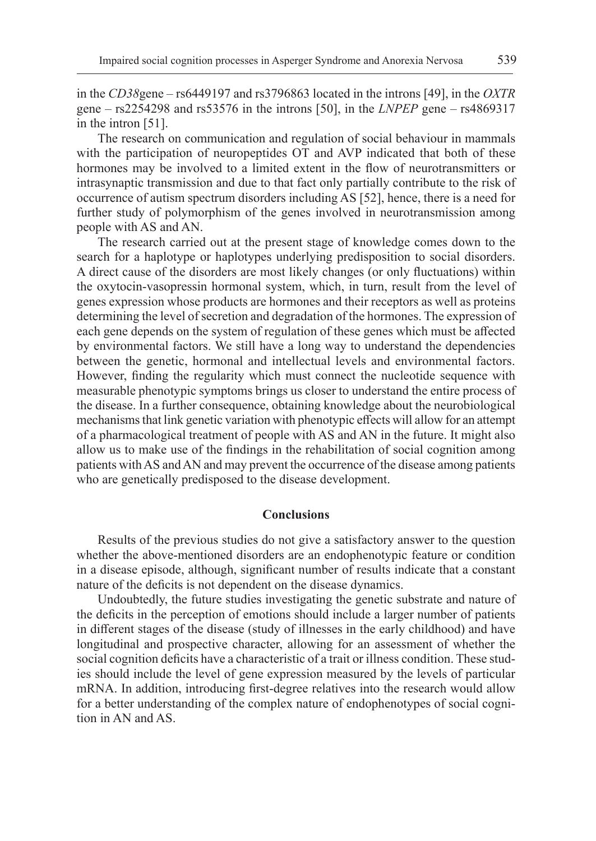in the *CD38*gene – rs6449197 and rs3796863 located in the introns [49], in the *OXTR* gene – rs2254298 and rs53576 in the introns [50], in the *LNPEP* gene – rs4869317 in the intron [51].

The research on communication and regulation of social behaviour in mammals with the participation of neuropeptides OT and AVP indicated that both of these hormones may be involved to a limited extent in the flow of neurotransmitters or intrasynaptic transmission and due to that fact only partially contribute to the risk of occurrence of autism spectrum disorders including AS [52], hence, there is a need for further study of polymorphism of the genes involved in neurotransmission among people with AS and AN.

The research carried out at the present stage of knowledge comes down to the search for a haplotype or haplotypes underlying predisposition to social disorders. A direct cause of the disorders are most likely changes (or only fluctuations) within the oxytocin-vasopressin hormonal system, which, in turn, result from the level of genes expression whose products are hormones and their receptors as well as proteins determining the level of secretion and degradation of the hormones. The expression of each gene depends on the system of regulation of these genes which must be affected by environmental factors. We still have a long way to understand the dependencies between the genetic, hormonal and intellectual levels and environmental factors. However, finding the regularity which must connect the nucleotide sequence with measurable phenotypic symptoms brings us closer to understand the entire process of the disease. In a further consequence, obtaining knowledge about the neurobiological mechanisms that link genetic variation with phenotypic effects will allow for an attempt of a pharmacological treatment of people with AS and AN in the future. It might also allow us to make use of the findings in the rehabilitation of social cognition among patients with AS and AN and may prevent the occurrence of the disease among patients who are genetically predisposed to the disease development.

## **Conclusions**

Results of the previous studies do not give a satisfactory answer to the question whether the above-mentioned disorders are an endophenotypic feature or condition in a disease episode, although, significant number of results indicate that a constant nature of the deficits is not dependent on the disease dynamics.

Undoubtedly, the future studies investigating the genetic substrate and nature of the deficits in the perception of emotions should include a larger number of patients in different stages of the disease (study of illnesses in the early childhood) and have longitudinal and prospective character, allowing for an assessment of whether the social cognition deficits have a characteristic of a trait or illness condition. These studies should include the level of gene expression measured by the levels of particular mRNA. In addition, introducing first-degree relatives into the research would allow for a better understanding of the complex nature of endophenotypes of social cognition in AN and AS.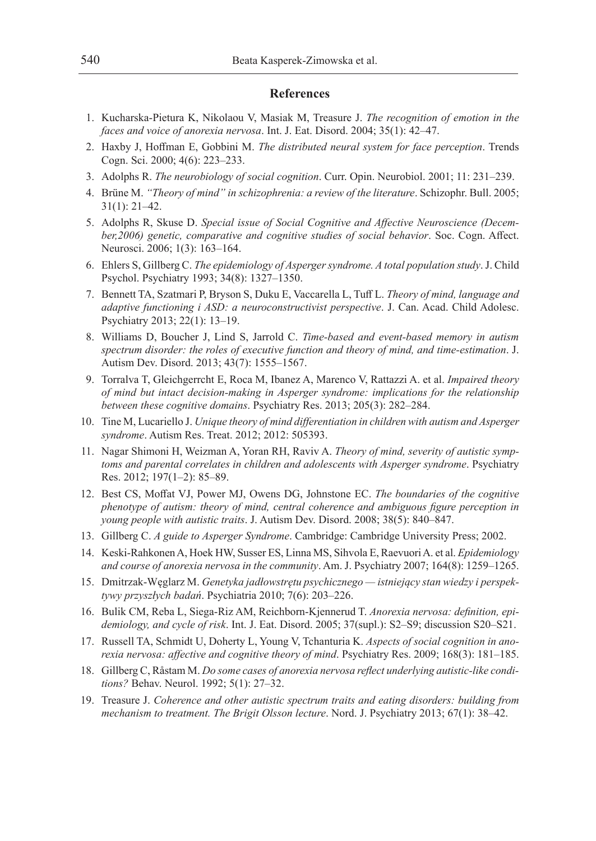## **References**

- 1. Kucharska-Pietura K, Nikolaou V, Masiak M, Treasure J. *The recognition of emotion in the faces and voice of anorexia nervosa*. Int. J. Eat. Disord. 2004; 35(1): 42–47.
- 2. Haxby J, Hoffman E, Gobbini M. *The distributed neural system for face perception*. Trends Cogn. Sci. 2000; 4(6): 223–233.
- 3. Adolphs R. *The neurobiology of social cognition*. Curr. Opin. Neurobiol. 2001; 11: 231–239.
- 4. Brüne M. *"Theory of mind" in schizophrenia: a review of the literature*. Schizophr. Bull. 2005; 31(1): 21–42.
- 5. Adolphs R, Skuse D. *Special issue of Social Cognitive and Affective Neuroscience (December,2006) genetic, comparative and cognitive studies of social behavior*. Soc. Cogn. Affect. Neurosci. 2006; 1(3): 163–164.
- 6. Ehlers S, Gillberg C. *The epidemiology of Asperger syndrome. A total population study*. J. Child Psychol. Psychiatry 1993; 34(8): 1327–1350.
- 7. Bennett TA, Szatmari P, Bryson S, Duku E, Vaccarella L, Tuff L. *Theory of mind, language and adaptive functioning i ASD: a neuroconstructivist perspective*. J. Can. Acad. Child Adolesc. Psychiatry 2013; 22(1): 13–19.
- 8. Williams D, Boucher J, Lind S, Jarrold C. *Time-based and event-based memory in autism spectrum disorder: the roles of executive function and theory of mind, and time-estimation*. J. Autism Dev. Disord. 2013; 43(7): 1555–1567.
- 9. Torralva T, Gleichgerrcht E, Roca M, Ibanez A, Marenco V, Rattazzi A. et al. *Impaired theory of mind but intact decision-making in Asperger syndrome: implications for the relationship between these cognitive domains*. Psychiatry Res. 2013; 205(3): 282–284.
- 10. Tine M, Lucariello J. *Unique theory of mind differentiation in children with autism and Asperger syndrome*. Autism Res. Treat. 2012; 2012: 505393.
- 11. Nagar Shimoni H, Weizman A, Yoran RH, Raviv A. *Theory of mind, severity of autistic symptoms and parental correlates in children and adolescents with Asperger syndrome*. Psychiatry Res. 2012; 197(1–2): 85–89.
- 12. Best CS, Moffat VJ, Power MJ, Owens DG, Johnstone EC. *The boundaries of the cognitive phenotype of autism: theory of mind, central coherence and ambiguous figure perception in young people with autistic traits*. J. Autism Dev. Disord. 2008; 38(5): 840–847.
- 13. Gillberg C. *A guide to Asperger Syndrome*. Cambridge: Cambridge University Press; 2002.
- 14. Keski-Rahkonen A, Hoek HW, Susser ES, Linna MS, Sihvola E, Raevuori A. et al. *Epidemiology and course of anorexia nervosa in the community*. Am. J. Psychiatry 2007; 164(8): 1259–1265.
- 15. Dmitrzak-Węglarz M. *Genetyka jadłowstrętu psychicznego istniejący stan wiedzy i perspektywy przyszłych badań*. Psychiatria 2010; 7(6): 203–226.
- 16. Bulik CM, Reba L, Siega-Riz AM, Reichborn-Kjennerud T. *Anorexia nervosa: definition, epidemiology, and cycle of risk*. Int. J. Eat. Disord. 2005; 37(supl.): S2–S9; discussion S20–S21.
- 17. Russell TA, Schmidt U, Doherty L, Young V, Tchanturia K. *Aspects of social cognition in anorexia nervosa: affective and cognitive theory of mind*. Psychiatry Res. 2009; 168(3): 181–185.
- 18. Gillberg C, Råstam M. *Do some cases of anorexia nervosa reflect underlying autistic-like conditions?* Behav. Neurol. 1992; 5(1): 27–32.
- 19. Treasure J. *Coherence and other autistic spectrum traits and eating disorders: building from mechanism to treatment. The Brigit Olsson lecture*. Nord. J. Psychiatry 2013; 67(1): 38–42.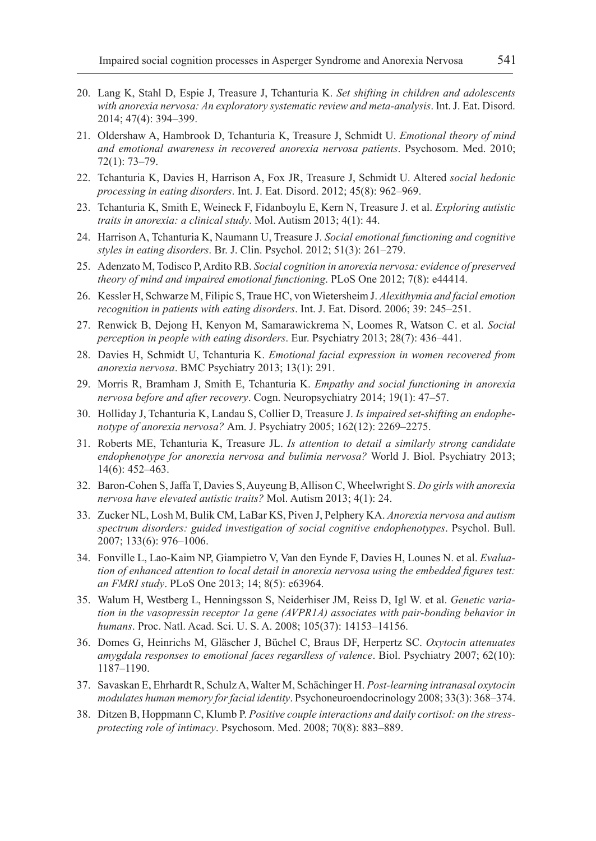- 20. Lang K, Stahl D, Espie J, Treasure J, Tchanturia K. *Set shifting in children and adolescents with anorexia nervosa: An exploratory systematic review and meta-analysis*. Int. J. Eat. Disord. 2014; 47(4): 394–399.
- 21. Oldershaw A, Hambrook D, Tchanturia K, Treasure J, Schmidt U. *Emotional theory of mind and emotional awareness in recovered anorexia nervosa patients*. Psychosom. Med. 2010; 72(1): 73–79.
- 22. Tchanturia K, Davies H, Harrison A, Fox JR, Treasure J, Schmidt U. Altered *social hedonic processing in eating disorders*. Int. J. Eat. Disord. 2012; 45(8): 962–969.
- 23. Tchanturia K, Smith E, Weineck F, Fidanboylu E, Kern N, Treasure J. et al. *Exploring autistic traits in anorexia: a clinical study*. Mol. Autism 2013; 4(1): 44.
- 24. Harrison A, Tchanturia K, Naumann U, Treasure J. *Social emotional functioning and cognitive styles in eating disorders*. Br. J. Clin. Psychol. 2012; 51(3): 261–279.
- 25. Adenzato M, Todisco P, Ardito RB. *Social cognition in anorexia nervosa: evidence of preserved theory of mind and impaired emotional functioning*. PLoS One 2012; 7(8): e44414.
- 26. Kessler H, Schwarze M, Filipic S, Traue HC, von Wietersheim J. *Alexithymia and facial emotion recognition in patients with eating disorders*. Int. J. Eat. Disord. 2006; 39: 245–251.
- 27. Renwick B, Dejong H, Kenyon M, Samarawickrema N, Loomes R, Watson C. et al. *Social perception in people with eating disorders*. Eur. Psychiatry 2013; 28(7): 436–441.
- 28. Davies H, Schmidt U, Tchanturia K. *Emotional facial expression in women recovered from anorexia nervosa*. BMC Psychiatry 2013; 13(1): 291.
- 29. Morris R, Bramham J, Smith E, Tchanturia K. *Empathy and social functioning in anorexia nervosa before and after recovery*. Cogn. Neuropsychiatry 2014; 19(1): 47–57.
- 30. Holliday J, Tchanturia K, Landau S, Collier D, Treasure J. *Is impaired set-shifting an endophenotype of anorexia nervosa?* Am. J. Psychiatry 2005; 162(12): 2269–2275.
- 31. Roberts ME, Tchanturia K, Treasure JL. *Is attention to detail a similarly strong candidate endophenotype for anorexia nervosa and bulimia nervosa?* World J. Biol. Psychiatry 2013; 14(6): 452–463.
- 32. Baron-Cohen S, Jaffa T, Davies S, Auyeung B, Allison C, Wheelwright S. *Do girls with anorexia nervosa have elevated autistic traits?* Mol. Autism 2013; 4(1): 24.
- 33. Zucker NL, Losh M, Bulik CM, LaBar KS, Piven J, Pelphery KA. *Anorexia nervosa and autism spectrum disorders: guided investigation of social cognitive endophenotypes*. Psychol. Bull. 2007; 133(6): 976–1006.
- 34. Fonville L, Lao-Kaim NP, Giampietro V, Van den Eynde F, Davies H, Lounes N. et al. *Evaluation of enhanced attention to local detail in anorexia nervosa using the embedded figures test: an FMRI study*. PLoS One 2013; 14; 8(5): e63964.
- 35. Walum H, Westberg L, Henningsson S, Neiderhiser JM, Reiss D, Igl W. et al. *Genetic variation in the vasopressin receptor 1a gene (AVPR1A) associates with pair-bonding behavior in humans*. Proc. Natl. Acad. Sci. U. S. A. 2008; 105(37): 14153–14156.
- 36. Domes G, Heinrichs M, Gläscher J, Büchel C, Braus DF, Herpertz SC. *Oxytocin attenuates amygdala responses to emotional faces regardless of valence*. Biol. Psychiatry 2007; 62(10): 1187–1190.
- 37. Savaskan E, Ehrhardt R, Schulz A, Walter M, Schächinger H. *Post-learning intranasal oxytocin modulates human memory for facial identity*. Psychoneuroendocrinology 2008; 33(3): 368–374.
- 38. Ditzen B, Hoppmann C, Klumb P. *Positive couple interactions and daily cortisol: on the stressprotecting role of intimacy*. Psychosom. Med. 2008; 70(8): 883–889.